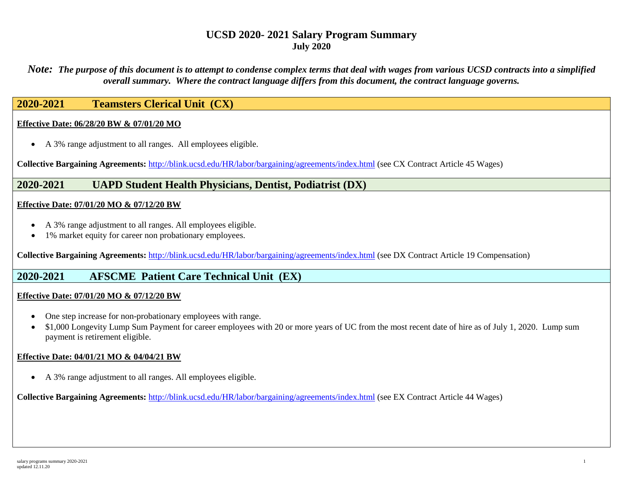*Note: The purpose of this document is to attempt to condense complex terms that deal with wages from various UCSD contracts into a simplified overall summary. Where the contract language differs from this document, the contract language governs.*

## **2020-2021 Teamsters Clerical Unit (CX)**

#### **Effective Date: 06/28/20 BW & 07/01/20 MO**

• A 3% range adjustment to all ranges. All employees eligible.

**Collective Bargaining Agreements:** <http://blink.ucsd.edu/HR/labor/bargaining/agreements/index.html> (see CX Contract Article 45 Wages)

### **2020-2021 UAPD Student Health Physicians, Dentist, Podiatrist (DX)**

#### **Effective Date: 07/01/20 MO & 07/12/20 BW**

- A 3% range adjustment to all ranges. All employees eligible.
- 1% market equity for career non probationary employees.

**Collective Bargaining Agreements:** <http://blink.ucsd.edu/HR/labor/bargaining/agreements/index.html> (see DX Contract Article 19 Compensation)

### **2020-2021 AFSCME Patient Care Technical Unit (EX)**

#### **Effective Date: 07/01/20 MO & 07/12/20 BW**

- One step increase for non-probationary employees with range.
- \$1,000 Longevity Lump Sum Payment for career employees with 20 or more years of UC from the most recent date of hire as of July 1, 2020. Lump sum payment is retirement eligible.

#### **Effective Date: 04/01/21 MO & 04/04/21 BW**

• A 3% range adjustment to all ranges. All employees eligible.

**Collective Bargaining Agreements:** <http://blink.ucsd.edu/HR/labor/bargaining/agreements/index.html> (see EX Contract Article 44 Wages)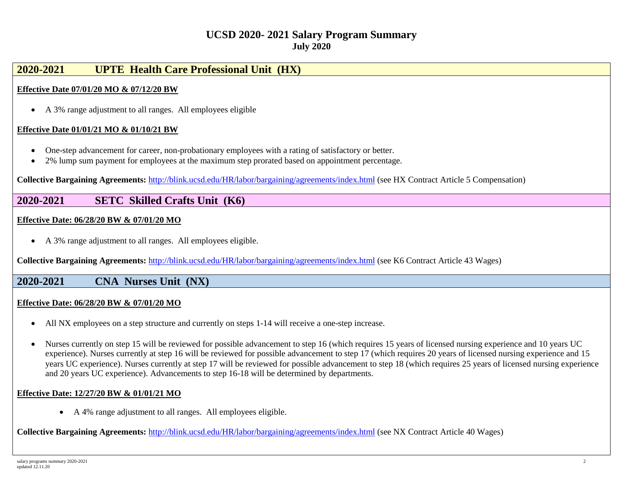# **2020-2021 UPTE Health Care Professional Unit (HX)**

#### **Effective Date 07/01/20 MO & 07/12/20 BW**

• A 3% range adjustment to all ranges. All employees eligible

#### **Effective Date 01/01/21 MO & 01/10/21 BW**

- One-step advancement for career, non-probationary employees with a rating of satisfactory or better.
- 2% lump sum payment for employees at the maximum step prorated based on appointment percentage.

**Collective Bargaining Agreements:** <http://blink.ucsd.edu/HR/labor/bargaining/agreements/index.html> (see HX Contract Article 5 Compensation)

### **2020-2021 SETC Skilled Crafts Unit (K6)**

#### **Effective Date: 06/28/20 BW & 07/01/20 MO**

• A 3% range adjustment to all ranges. All employees eligible.

**Collective Bargaining Agreements:** <http://blink.ucsd.edu/HR/labor/bargaining/agreements/index.html> (see K6 Contract Article 43 Wages)

### **2020-2021 CNA Nurses Unit (NX)**

#### **Effective Date: 06/28/20 BW & 07/01/20 MO**

- All NX employees on a step structure and currently on steps 1-14 will receive a one-step increase.
- Nurses currently on step 15 will be reviewed for possible advancement to step 16 (which requires 15 years of licensed nursing experience and 10 years UC experience). Nurses currently at step 16 will be reviewed for possible advancement to step 17 (which requires 20 years of licensed nursing experience and 15 years UC experience). Nurses currently at step 17 will be reviewed for possible advancement to step 18 (which requires 25 years of licensed nursing experience and 20 years UC experience). Advancements to step 16-18 will be determined by departments.

#### **Effective Date: 12/27/20 BW & 01/01/21 MO**

• A 4% range adjustment to all ranges. All employees eligible.

**Collective Bargaining Agreements:** <http://blink.ucsd.edu/HR/labor/bargaining/agreements/index.html> (see NX Contract Article 40 Wages)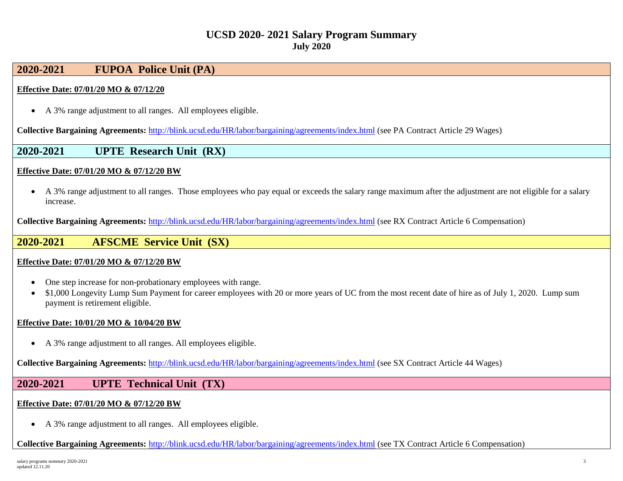## **2020-2021 FUPOA Police Unit (PA)**

### **Effective Date: 07/01/20 MO & 07/12/20**

• A 3% range adjustment to all ranges. All employees eligible.

**Collective Bargaining Agreements:** <http://blink.ucsd.edu/HR/labor/bargaining/agreements/index.html> (see PA Contract Article 29 Wages)

### **2020-2021 UPTE Research Unit (RX)**

#### **Effective Date: 07/01/20 MO & 07/12/20 BW**

• A 3% range adjustment to all ranges. Those employees who pay equal or exceeds the salary range maximum after the adjustment are not eligible for a salary increase.

**Collective Bargaining Agreements:** <http://blink.ucsd.edu/HR/labor/bargaining/agreements/index.html> (see RX Contract Article 6 Compensation)

### **2020-2021 AFSCME Service Unit (SX)**

#### **Effective Date: 07/01/20 MO & 07/12/20 BW**

- One step increase for non-probationary employees with range.
- \$1,000 Longevity Lump Sum Payment for career employees with 20 or more years of UC from the most recent date of hire as of July 1, 2020. Lump sum payment is retirement eligible.

#### **Effective Date: 10/01/20 MO & 10/04/20 BW**

• A 3% range adjustment to all ranges. All employees eligible.

**Collective Bargaining Agreements:** <http://blink.ucsd.edu/HR/labor/bargaining/agreements/index.html> (see SX Contract Article 44 Wages)

### **2020-2021 UPTE Technical Unit (TX)**

#### **Effective Date: 07/01/20 MO & 07/12/20 BW**

• A 3% range adjustment to all ranges. All employees eligible.

**Collective Bargaining Agreements:** <http://blink.ucsd.edu/HR/labor/bargaining/agreements/index.html> (see TX Contract Article 6 Compensation)